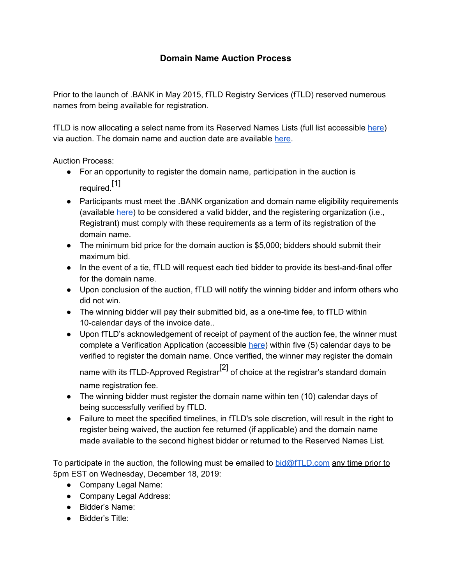## **Domain Name Auction Process**

Prior to the launch of .BANK in May 2015, fTLD Registry Services (fTLD) reserved numerous names from being available for registration.

fTLD is now allocating a select name from its Reserved Names Lists (full list accessible [here](https://www.register.bank/reserved-names/)) via auction. The domain name and auction date are available [here](https://www.register.bank/reserved-names#auctions).

Auction Process:

- For an opportunity to register the domain name, participation in the auction is required. [1]
- Participants must meet the .BANK organization and domain name eligibility requirements (availabl[e](https://www.register.bank/eligibility/) [here](https://www.register.bank/eligibility/)) to be considered a valid bidder, and the registering organization (i.e., Registrant) must comply with these requirements as a term of its registration of the domain name.
- The minimum bid price for the domain auction is \$5,000; bidders should submit their maximum bid.
- In the event of a tie, fTLD will request each tied bidder to provide its best-and-final offer for the domain name.
- Upon conclusion of the auction, fTLD will notify the winning bidder and inform others who did not win.
- The winning bidder will pay their submitted bid, as a one-time fee, to fTLD within 10-calendar days of the invoice date..
- Upon fTLD's acknowledgement of receipt of payment of the auction fee, the winner must complete a Verification Application (accessibl[e](https://www.register.bank/get-started/) [here](https://www.register.bank/get-started/)) within five (5) calendar days to be verified to register the domain name. Once verified, the winner may register the domain name with its fTLD-Approved Registrar<sup>[2]</sup> of choice at the registrar's standard domain name registration fee.
- The winning bidder must register the domain name within ten (10) calendar days of being successfully verified by fTLD.
- Failure to meet the specified timelines, in fTLD's sole discretion, will result in the right to register being waived, the auction fee returned (if applicable) and the domain name made available to the second highest bidder or returned to the Reserved Names List.

To participate in the auction, the following must be emailed to bid $@fTLD.com$  any time prior to 5pm EST on Wednesday, December 18, 2019:

- Company Legal Name:
- Company Legal Address:
- Bidder's Name:
- Bidder's Title: